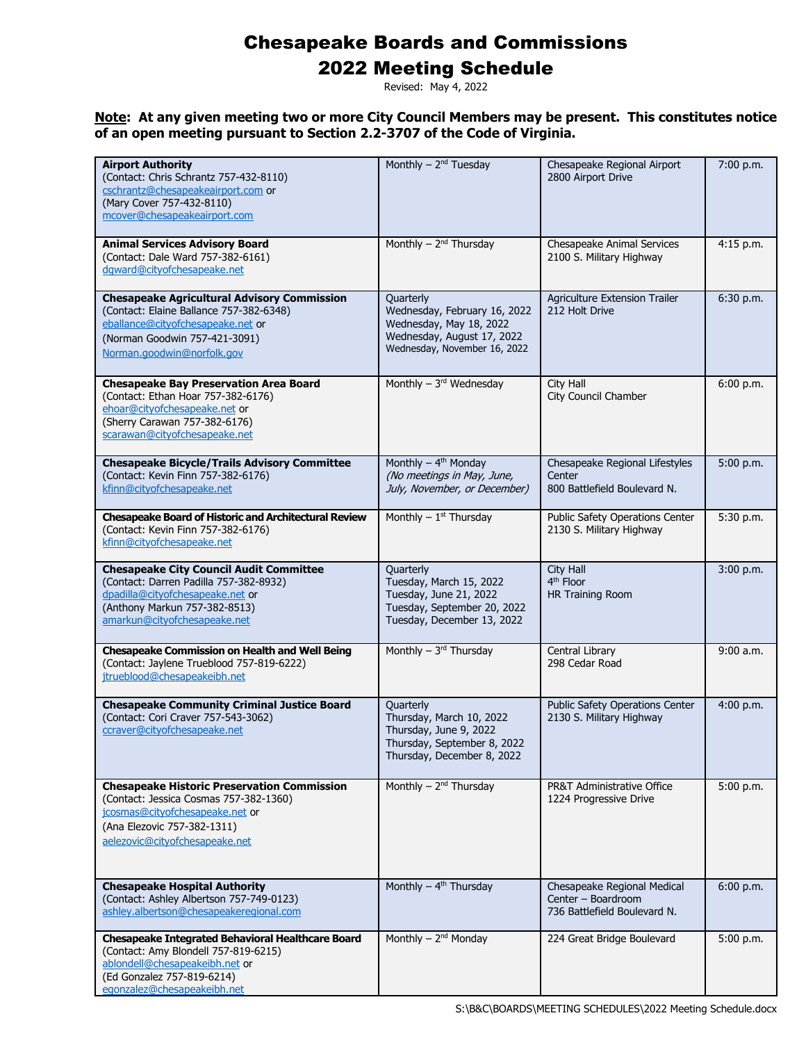### 2022 Meeting Schedule

Revised: May 4, 2022

| <b>Airport Authority</b><br>(Contact: Chris Schrantz 757-432-8110)<br>cschrantz@chesapeakeairport.com or<br>(Mary Cover 757-432-8110)<br>mcover@chesapeakeairport.com                             | Monthly $-2nd$ Tuesday                                                                                                             | Chesapeake Regional Airport<br>2800 Airport Drive                                 | 7:00 p.m.   |
|---------------------------------------------------------------------------------------------------------------------------------------------------------------------------------------------------|------------------------------------------------------------------------------------------------------------------------------------|-----------------------------------------------------------------------------------|-------------|
| <b>Animal Services Advisory Board</b><br>(Contact: Dale Ward 757-382-6161)<br>dgward@cityofchesapeake.net                                                                                         | Monthly $-2nd$ Thursday                                                                                                            | Chesapeake Animal Services<br>2100 S. Military Highway                            | $4:15$ p.m. |
| <b>Chesapeake Agricultural Advisory Commission</b><br>(Contact: Elaine Ballance 757-382-6348)<br>eballance@cityofchesapeake.net or<br>(Norman Goodwin 757-421-3091)<br>Norman.goodwin@norfolk.gov | Quarterly<br>Wednesday, February 16, 2022<br>Wednesday, May 18, 2022<br>Wednesday, August 17, 2022<br>Wednesday, November 16, 2022 | Agriculture Extension Trailer<br>212 Holt Drive                                   | 6:30 p.m.   |
| <b>Chesapeake Bay Preservation Area Board</b><br>(Contact: Ethan Hoar 757-382-6176)<br>ehoar@cityofchesapeake.net or<br>(Sherry Carawan 757-382-6176)<br>scarawan@cityofchesapeake.net            | Monthly $-3rd$ Wednesday                                                                                                           | City Hall<br>City Council Chamber                                                 | 6:00 p.m.   |
| <b>Chesapeake Bicycle/Trails Advisory Committee</b><br>(Contact: Kevin Finn 757-382-6176)<br>kfinn@cityofchesapeake.net                                                                           | Monthly - 4 <sup>th</sup> Monday<br>(No meetings in May, June,<br>July, November, or December)                                     | Chesapeake Regional Lifestyles<br>Center<br>800 Battlefield Boulevard N.          | 5:00 p.m.   |
| <b>Chesapeake Board of Historic and Architectural Review</b><br>(Contact: Kevin Finn 757-382-6176)<br>kfinn@cityofchesapeake.net                                                                  | Monthly $-1$ <sup>st</sup> Thursday                                                                                                | Public Safety Operations Center<br>2130 S. Military Highway                       | 5:30 p.m.   |
| <b>Chesapeake City Council Audit Committee</b><br>(Contact: Darren Padilla 757-382-8932)<br>dpadilla@cityofchesapeake.net or<br>(Anthony Markun 757-382-8513)<br>amarkun@cityofchesapeake.net     | Quarterly<br>Tuesday, March 15, 2022<br>Tuesday, June 21, 2022<br>Tuesday, September 20, 2022<br>Tuesday, December 13, 2022        | City Hall<br>4 <sup>th</sup> Floor<br>HR Training Room                            | 3:00 p.m.   |
| <b>Chesapeake Commission on Health and Well Being</b><br>(Contact: Jaylene Trueblood 757-819-6222)<br>jtrueblood@chesapeakeibh.net                                                                | Monthly - 3rd Thursday                                                                                                             | Central Library<br>298 Cedar Road                                                 | 9:00 a.m.   |
| <b>Chesapeake Community Criminal Justice Board</b><br>(Contact: Cori Craver 757-543-3062)<br>ccraver@cityofchesapeake.net                                                                         | Quarterly<br>Thursday, March 10, 2022<br>Thursday, June 9, 2022<br>Thursday, September 8, 2022<br>Thursday, December 8, 2022       | Public Safety Operations Center<br>2130 S. Military Highway                       | 4:00 p.m.   |
| <b>Chesapeake Historic Preservation Commission</b><br>(Contact: Jessica Cosmas 757-382-1360)<br>jcosmas@cityofchesapeake.net or<br>(Ana Elezovic 757-382-1311)<br>aelezovic@cityofchesapeake.net  | Monthly $-2^{nd}$ Thursday                                                                                                         | <b>PR&amp;T Administrative Office</b><br>1224 Progressive Drive                   | 5:00 p.m.   |
| <b>Chesapeake Hospital Authority</b><br>(Contact: Ashley Albertson 757-749-0123)<br>ashley.albertson@chesapeakeregional.com                                                                       | Monthly $-$ 4 <sup>th</sup> Thursday                                                                                               | Chesapeake Regional Medical<br>Center - Boardroom<br>736 Battlefield Boulevard N. | 6:00 p.m.   |
| <b>Chesapeake Integrated Behavioral Healthcare Board</b><br>(Contact: Amy Blondell 757-819-6215)<br>ablondell@chesapeakeibh.net or<br>(Ed Gonzalez 757-819-6214)<br>egonzalez@chesapeakeibh.net   | Monthly - 2 <sup>nd</sup> Monday                                                                                                   | 224 Great Bridge Boulevard                                                        | 5:00 p.m.   |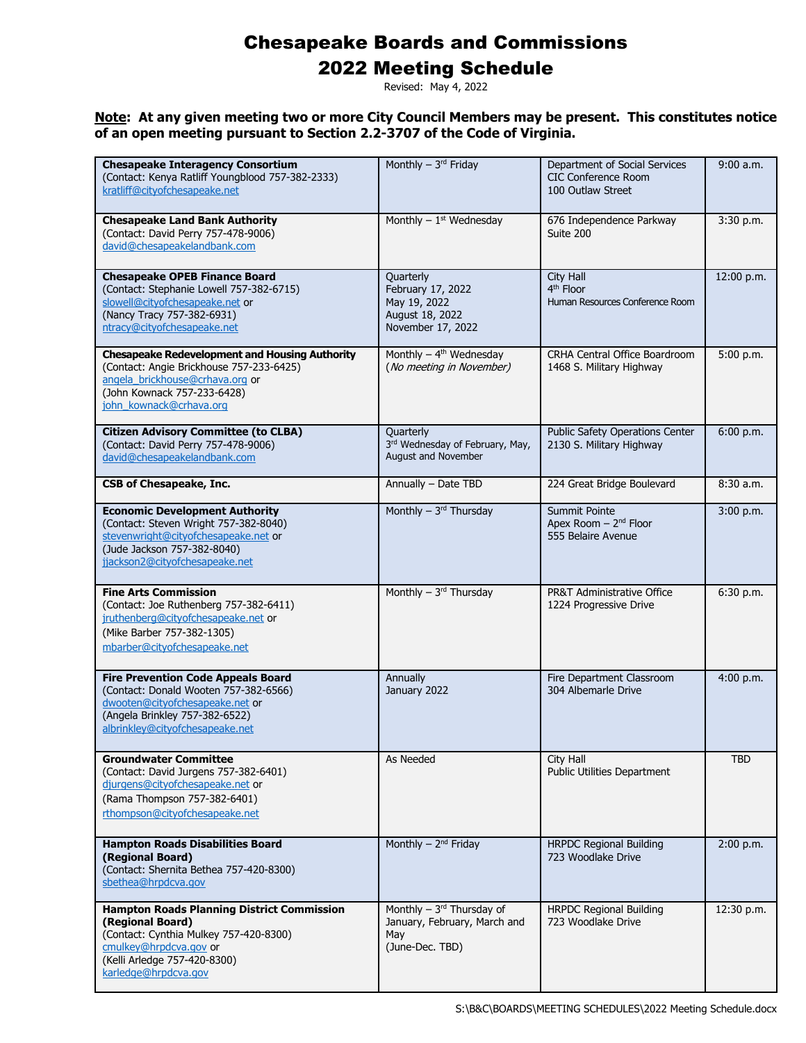### 2022 Meeting Schedule

Revised: May 4, 2022

| <b>Chesapeake Interagency Consortium</b><br>(Contact: Kenya Ratliff Youngblood 757-382-2333)<br>kratliff@citvofchesapeake.net                                                                     | Monthly - 3rd Friday                                                                    | Department of Social Services<br><b>CIC Conference Room</b><br>100 Outlaw Street | $9:00$ a.m. |
|---------------------------------------------------------------------------------------------------------------------------------------------------------------------------------------------------|-----------------------------------------------------------------------------------------|----------------------------------------------------------------------------------|-------------|
| <b>Chesapeake Land Bank Authority</b><br>(Contact: David Perry 757-478-9006)<br>david@chesapeakelandbank.com                                                                                      | Monthly $-1st$ Wednesday                                                                | 676 Independence Parkway<br>Suite 200                                            | 3:30 p.m.   |
| <b>Chesapeake OPEB Finance Board</b><br>(Contact: Stephanie Lowell 757-382-6715)<br>slowell@cityofchesapeake.net or<br>(Nancy Tracy 757-382-6931)<br>ntracy@cityofchesapeake.net                  | Quarterly<br>February 17, 2022<br>May 19, 2022<br>August 18, 2022<br>November 17, 2022  | City Hall<br>4 <sup>th</sup> Floor<br>Human Resources Conference Room            | 12:00 p.m.  |
| <b>Chesapeake Redevelopment and Housing Authority</b><br>(Contact: Angie Brickhouse 757-233-6425)<br>angela brickhouse@crhava.org or<br>(John Kownack 757-233-6428)<br>john_kownack@crhava.org    | Monthly $-$ 4 <sup>th</sup> Wednesday<br>(No meeting in November)                       | CRHA Central Office Boardroom<br>1468 S. Military Highway                        | 5:00 p.m.   |
| <b>Citizen Advisory Committee (to CLBA)</b><br>(Contact: David Perry 757-478-9006)<br>david@chesapeakelandbank.com                                                                                | Quarterly<br>3rd Wednesday of February, May,<br>August and November                     | <b>Public Safety Operations Center</b><br>2130 S. Military Highway               | 6:00 p.m.   |
| <b>CSB of Chesapeake, Inc.</b>                                                                                                                                                                    | Annually - Date TBD                                                                     | 224 Great Bridge Boulevard                                                       | 8:30a.m.    |
| <b>Economic Development Authority</b><br>(Contact: Steven Wright 757-382-8040)<br>stevenwright@cityofchesapeake.net or<br>(Jude Jackson 757-382-8040)<br>jjackson2@cityofchesapeake.net           | Monthly $-3^{rd}$ Thursday                                                              | Summit Pointe<br>Apex Room - 2 <sup>nd</sup> Floor<br>555 Belaire Avenue         | 3:00 p.m.   |
| <b>Fine Arts Commission</b><br>(Contact: Joe Ruthenberg 757-382-6411)<br>jruthenberg@cityofchesapeake.net or<br>(Mike Barber 757-382-1305)<br>mbarber@cityofchesapeake.net                        | Monthly - 3rd Thursday                                                                  | <b>PR&amp;T Administrative Office</b><br>1224 Progressive Drive                  | 6:30 p.m.   |
| <b>Fire Prevention Code Appeals Board</b><br>(Contact: Donald Wooten 757-382-6566)<br>dwooten@cityofchesapeake.net or<br>(Angela Brinkley 757-382-6522)<br>albrinkley@cityofchesapeake.net        | Annually<br>January 2022                                                                | Fire Department Classroom<br>304 Albemarle Drive                                 | 4:00 p.m.   |
| <b>Groundwater Committee</b><br>(Contact: David Jurgens 757-382-6401)<br>djurgens@cityofchesapeake.net or<br>(Rama Thompson 757-382-6401)<br>rthompson@cityofchesapeake.net                       | As Needed                                                                               | <b>City Hall</b><br><b>Public Utilities Department</b>                           | <b>TBD</b>  |
| <b>Hampton Roads Disabilities Board</b><br>(Regional Board)<br>(Contact: Shernita Bethea 757-420-8300)<br>sbethea@hrpdcva.gov                                                                     | Monthly $-2^{nd}$ Friday                                                                | <b>HRPDC Regional Building</b><br>723 Woodlake Drive                             | 2:00 p.m.   |
| <b>Hampton Roads Planning District Commission</b><br>(Regional Board)<br>(Contact: Cynthia Mulkey 757-420-8300)<br>cmulkey@hrpdcva.gov or<br>(Kelli Arledge 757-420-8300)<br>karledge@hrpdcva.gov | Monthly $-3^{rd}$ Thursday of<br>January, February, March and<br>May<br>(June-Dec. TBD) | <b>HRPDC Regional Building</b><br>723 Woodlake Drive                             | 12:30 p.m.  |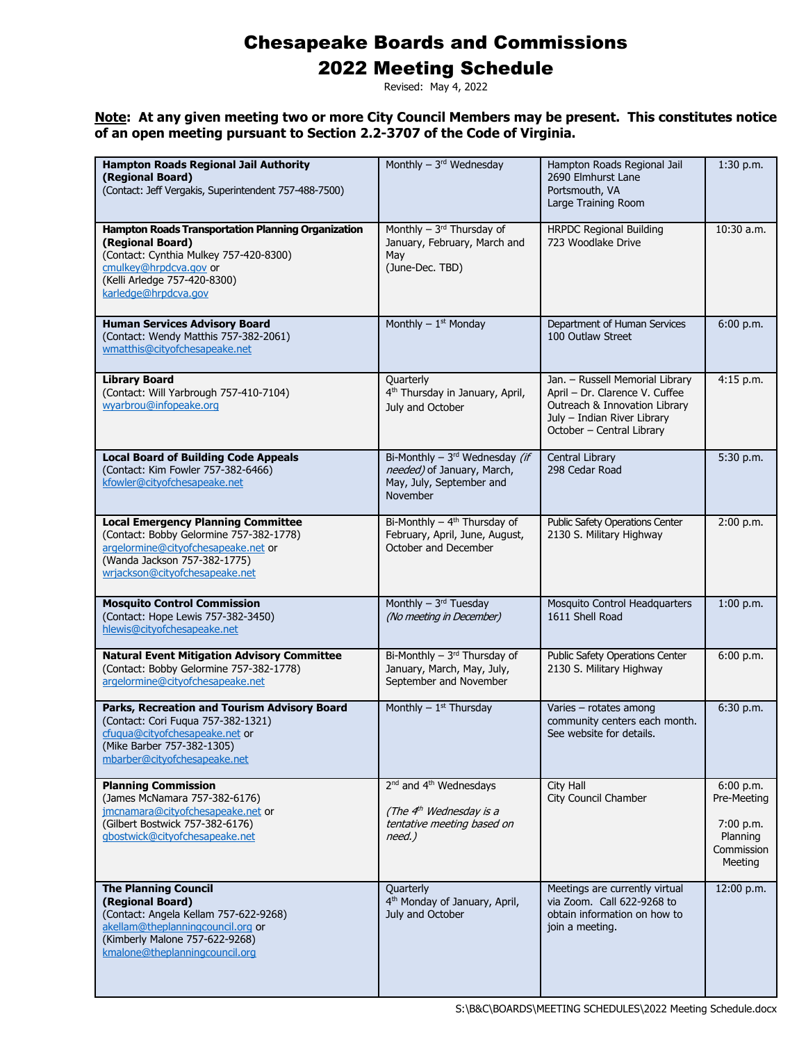### 2022 Meeting Schedule

Revised: May 4, 2022

| <b>Hampton Roads Regional Jail Authority</b><br>(Regional Board)<br>(Contact: Jeff Vergakis, Superintendent 757-488-7500)                                                                                 | Monthly $-3rd$ Wednesday                                                                                            | Hampton Roads Regional Jail<br>2690 Elmhurst Lane<br>Portsmouth, VA<br>Large Training Room                                                                     | $1:30$ p.m.                                                                |
|-----------------------------------------------------------------------------------------------------------------------------------------------------------------------------------------------------------|---------------------------------------------------------------------------------------------------------------------|----------------------------------------------------------------------------------------------------------------------------------------------------------------|----------------------------------------------------------------------------|
| <b>Hampton Roads Transportation Planning Organization</b><br>(Regional Board)<br>(Contact: Cynthia Mulkey 757-420-8300)<br>cmulkey@hrpdcva.gov or<br>(Kelli Arledge 757-420-8300)<br>karledge@hrpdcva.gov | Monthly $-3$ <sup>rd</sup> Thursday of<br>January, February, March and<br>May<br>(June-Dec. TBD)                    | <b>HRPDC Regional Building</b><br>723 Woodlake Drive                                                                                                           | $10:30$ a.m.                                                               |
| <b>Human Services Advisory Board</b><br>(Contact: Wendy Matthis 757-382-2061)<br>wmatthis@cityofchesapeake.net                                                                                            | Monthly $-1$ <sup>st</sup> Monday                                                                                   | Department of Human Services<br>100 Outlaw Street                                                                                                              | 6:00 p.m.                                                                  |
| <b>Library Board</b><br>(Contact: Will Yarbrough 757-410-7104)<br>wyarbrou@infopeake.org                                                                                                                  | Quarterly<br>4 <sup>th</sup> Thursday in January, April,<br>July and October                                        | Jan. - Russell Memorial Library<br>April - Dr. Clarence V. Cuffee<br>Outreach & Innovation Library<br>July - Indian River Library<br>October - Central Library | 4:15 p.m.                                                                  |
| <b>Local Board of Building Code Appeals</b><br>(Contact: Kim Fowler 757-382-6466)<br>kfowler@cityofchesapeake.net                                                                                         | Bi-Monthly - $3^{rd}$ Wednesday (if<br>needed) of January, March,<br>May, July, September and<br>November           | Central Library<br>298 Cedar Road                                                                                                                              | 5:30 p.m.                                                                  |
| <b>Local Emergency Planning Committee</b><br>(Contact: Bobby Gelormine 757-382-1778)<br>argelormine@cityofchesapeake.net or<br>(Wanda Jackson 757-382-1775)<br>wrjackson@cityofchesapeake.net             | Bi-Monthly $-$ 4 <sup>th</sup> Thursday of<br>February, April, June, August,<br>October and December                | <b>Public Safety Operations Center</b><br>2130 S. Military Highway                                                                                             | 2:00 p.m.                                                                  |
| <b>Mosquito Control Commission</b><br>(Contact: Hope Lewis 757-382-3450)<br>hlewis@cityofchesapeake.net                                                                                                   | Monthly $-3^{rd}$ Tuesday<br>(No meeting in December)                                                               | Mosquito Control Headquarters<br>1611 Shell Road                                                                                                               | $1:00$ p.m.                                                                |
| <b>Natural Event Mitigation Advisory Committee</b><br>(Contact: Bobby Gelormine 757-382-1778)<br>argelormine@cityofchesapeake.net                                                                         | Bi-Monthly $-3$ <sup>rd</sup> Thursday of<br>January, March, May, July,<br>September and November                   | Public Safety Operations Center<br>2130 S. Military Highway                                                                                                    | 6:00 p.m.                                                                  |
| Parks, Recreation and Tourism Advisory Board<br>(Contact: Cori Fuqua 757-382-1321)<br>cfuqua@cityofchesapeake.net or<br>(Mike Barber 757-382-1305)<br>mbarber@cityofchesapeake.net                        | Monthly $-1$ <sup>st</sup> Thursday                                                                                 | Varies - rotates among<br>community centers each month.<br>See website for details.                                                                            | 6:30 p.m.                                                                  |
| <b>Planning Commission</b><br>(James McNamara 757-382-6176)<br>jmcnamara@cityofchesapeake.net or<br>(Gilbert Bostwick 757-382-6176)<br>gbostwick@cityofchesapeake.net                                     | 2 <sup>nd</sup> and 4 <sup>th</sup> Wednesdays<br>(The $4th$ Wednesday is a<br>tentative meeting based on<br>need.) | City Hall<br>City Council Chamber                                                                                                                              | 6:00 p.m.<br>Pre-Meeting<br>7:00 p.m.<br>Planning<br>Commission<br>Meeting |
| <b>The Planning Council</b><br>(Regional Board)<br>(Contact: Angela Kellam 757-622-9268)<br>akellam@theplanningcouncil.org or<br>(Kimberly Malone 757-622-9268)<br>kmalone@theplanningcouncil.org         | Quarterly<br>4 <sup>th</sup> Monday of January, April,<br>July and October                                          | Meetings are currently virtual<br>via Zoom. Call 622-9268 to<br>obtain information on how to<br>join a meeting.                                                | 12:00 p.m.                                                                 |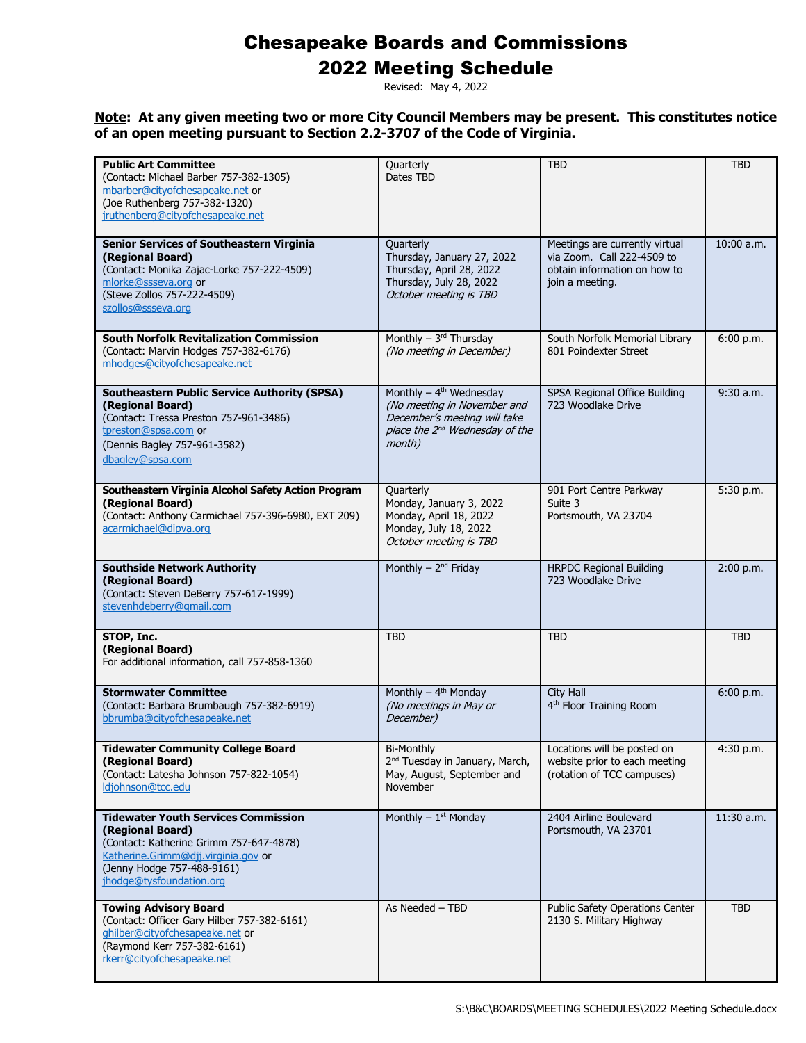### 2022 Meeting Schedule

Revised: May 4, 2022

| <b>Public Art Committee</b><br>(Contact: Michael Barber 757-382-1305)<br>mbarber@cityofchesapeake.net or<br>(Joe Ruthenberg 757-382-1320)<br>jruthenberg@cityofchesapeake.net                              | Quarterly<br>Dates TBD                                                                                                                                       | <b>TBD</b>                                                                                                      | <b>TBD</b>  |
|------------------------------------------------------------------------------------------------------------------------------------------------------------------------------------------------------------|--------------------------------------------------------------------------------------------------------------------------------------------------------------|-----------------------------------------------------------------------------------------------------------------|-------------|
| <b>Senior Services of Southeastern Virginia</b><br>(Regional Board)<br>(Contact: Monika Zajac-Lorke 757-222-4509)<br>mlorke@ssseva.org or<br>(Steve Zollos 757-222-4509)<br>szollos@ssseva.org             | Quarterly<br>Thursday, January 27, 2022<br>Thursday, April 28, 2022<br>Thursday, July 28, 2022<br>October meeting is TBD                                     | Meetings are currently virtual<br>via Zoom. Call 222-4509 to<br>obtain information on how to<br>join a meeting. | 10:00 a.m.  |
| <b>South Norfolk Revitalization Commission</b><br>(Contact: Marvin Hodges 757-382-6176)<br>mhodges@cityofchesapeake.net                                                                                    | Monthly - 3rd Thursday<br>(No meeting in December)                                                                                                           | South Norfolk Memorial Library<br>801 Poindexter Street                                                         | 6:00 p.m.   |
| <b>Southeastern Public Service Authority (SPSA)</b><br>(Regional Board)<br>(Contact: Tressa Preston 757-961-3486)<br>tpreston@spsa.com or<br>(Dennis Bagley 757-961-3582)<br>dbagley@spsa.com              | Monthly $-$ 4 <sup>th</sup> Wednesday<br>(No meeting in November and<br>December's meeting will take<br>place the 2 <sup>nd</sup> Wednesday of the<br>month) | SPSA Regional Office Building<br>723 Woodlake Drive                                                             | $9:30$ a.m. |
| Southeastern Virginia Alcohol Safety Action Program<br>(Regional Board)<br>(Contact: Anthony Carmichael 757-396-6980, EXT 209)<br>acarmichael@dipva.org                                                    | Quarterly<br>Monday, January 3, 2022<br>Monday, April 18, 2022<br>Monday, July 18, 2022<br>October meeting is TBD                                            | 901 Port Centre Parkway<br>Suite 3<br>Portsmouth, VA 23704                                                      | 5:30 p.m.   |
| <b>Southside Network Authority</b><br>(Regional Board)<br>(Contact: Steven DeBerry 757-617-1999)<br>stevenhdeberry@gmail.com                                                                               | Monthly - 2 <sup>nd</sup> Friday                                                                                                                             | <b>HRPDC Regional Building</b><br>723 Woodlake Drive                                                            | 2:00 p.m.   |
| STOP, Inc.<br>(Regional Board)<br>For additional information, call 757-858-1360                                                                                                                            | <b>TBD</b>                                                                                                                                                   | <b>TBD</b>                                                                                                      | <b>TBD</b>  |
| <b>Stormwater Committee</b><br>(Contact: Barbara Brumbaugh 757-382-6919)<br>bbrumba@cityofchesapeake.net                                                                                                   | Monthly $-4th$ Monday<br>(No meetings in May or<br>December)                                                                                                 | <b>City Hall</b><br>4 <sup>th</sup> Floor Training Room                                                         | 6:00 p.m.   |
| <b>Tidewater Community College Board</b><br>(Regional Board)<br>(Contact: Latesha Johnson 757-822-1054)<br>Idjohnson@tcc.edu                                                                               | <b>Bi-Monthly</b><br>2 <sup>nd</sup> Tuesday in January, March,<br>May, August, September and<br><b>November</b>                                             | Locations will be posted on<br>website prior to each meeting<br>(rotation of TCC campuses)                      | 4:30 p.m.   |
| <b>Tidewater Youth Services Commission</b><br>(Regional Board)<br>(Contact: Katherine Grimm 757-647-4878)<br>Katherine.Grimm@djj.virginia.gov or<br>(Jenny Hodge 757-488-9161)<br>jhodge@tysfoundation.org | Monthly $ 1st$ Monday                                                                                                                                        | 2404 Airline Boulevard<br>Portsmouth, VA 23701                                                                  | 11:30 a.m.  |
| <b>Towing Advisory Board</b><br>(Contact: Officer Gary Hilber 757-382-6161)<br>ghilber@cityofchesapeake.net or<br>(Raymond Kerr 757-382-6161)<br>rkerr@cityofchesapeake.net                                | As Needed - TBD                                                                                                                                              | Public Safety Operations Center<br>2130 S. Military Highway                                                     | <b>TBD</b>  |